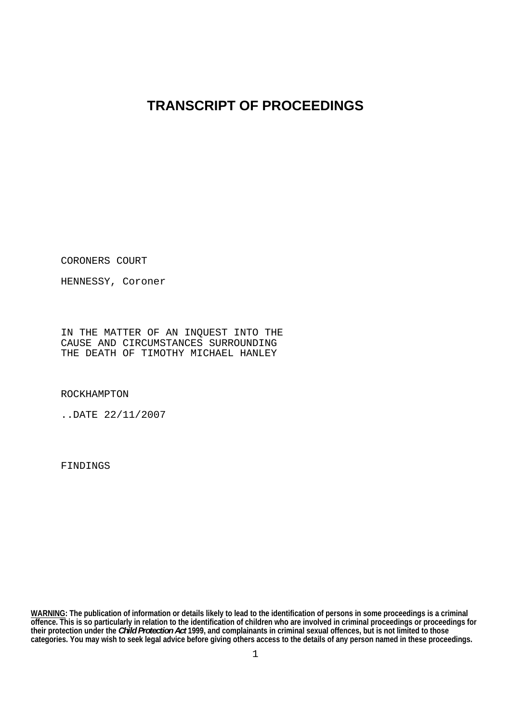## **TRANSCRIPT OF PROCEEDINGS**

CORONERS COURT

HENNESSY, Coroner

IN THE MATTER OF AN INQUEST INTO THE CAUSE AND CIRCUMSTANCES SURROUNDING THE DEATH OF TIMOTHY MICHAEL HANLEY

ROCKHAMPTON

..DATE 22/11/2007

FINDINGS

**WARNING: The publication of information or details likely to lead to the identification of persons in some proceedings is a criminal offence. This is so particularly in relation to the identification of children who are involved in criminal proceedings or proceedings for their protection under the** *Child Protection Act* **1999, and complainants in criminal sexual offences, but is not limited to those categories. You may wish to seek legal advice before giving others access to the details of any person named in these proceedings.**